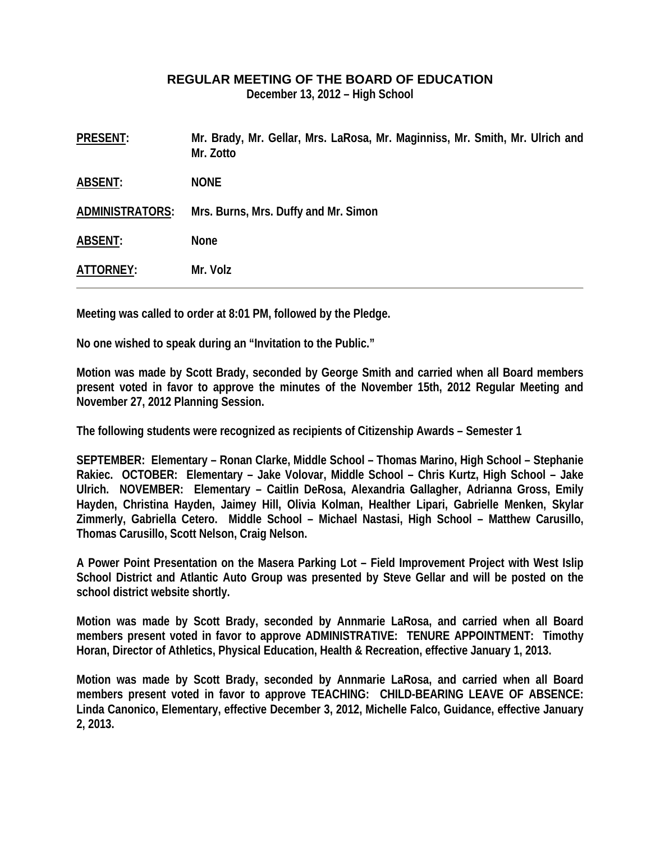## **REGULAR MEETING OF THE BOARD OF EDUCATION**

**December 13, 2012 – High School** 

| <b>PRESENT:</b>        | Mr. Brady, Mr. Gellar, Mrs. LaRosa, Mr. Maginniss, Mr. Smith, Mr. Ulrich and<br>Mr. Zotto |
|------------------------|-------------------------------------------------------------------------------------------|
| <b>ABSENT:</b>         | <b>NONE</b>                                                                               |
| <b>ADMINISTRATORS:</b> | Mrs. Burns, Mrs. Duffy and Mr. Simon                                                      |
| <b>ABSENT:</b>         | <b>None</b>                                                                               |
| ATTORNEY:              | Mr. Volz                                                                                  |

**Meeting was called to order at 8:01 PM, followed by the Pledge.** 

**No one wished to speak during an "Invitation to the Public."** 

**Motion was made by Scott Brady, seconded by George Smith and carried when all Board members present voted in favor to approve the minutes of the November 15th, 2012 Regular Meeting and November 27, 2012 Planning Session.** 

**The following students were recognized as recipients of Citizenship Awards – Semester 1** 

**SEPTEMBER: Elementary – Ronan Clarke, Middle School – Thomas Marino, High School – Stephanie Rakiec. OCTOBER: Elementary – Jake Volovar, Middle School – Chris Kurtz, High School – Jake Ulrich. NOVEMBER: Elementary – Caitlin DeRosa, Alexandria Gallagher, Adrianna Gross, Emily Hayden, Christina Hayden, Jaimey Hill, Olivia Kolman, Healther Lipari, Gabrielle Menken, Skylar Zimmerly, Gabriella Cetero. Middle School – Michael Nastasi, High School – Matthew Carusillo, Thomas Carusillo, Scott Nelson, Craig Nelson.** 

**A Power Point Presentation on the Masera Parking Lot – Field Improvement Project with West Islip School District and Atlantic Auto Group was presented by Steve Gellar and will be posted on the school district website shortly.** 

**Motion was made by Scott Brady, seconded by Annmarie LaRosa, and carried when all Board members present voted in favor to approve ADMINISTRATIVE: TENURE APPOINTMENT: Timothy Horan, Director of Athletics, Physical Education, Health & Recreation, effective January 1, 2013.** 

**Motion was made by Scott Brady, seconded by Annmarie LaRosa, and carried when all Board members present voted in favor to approve TEACHING: CHILD-BEARING LEAVE OF ABSENCE: Linda Canonico, Elementary, effective December 3, 2012, Michelle Falco, Guidance, effective January 2, 2013.**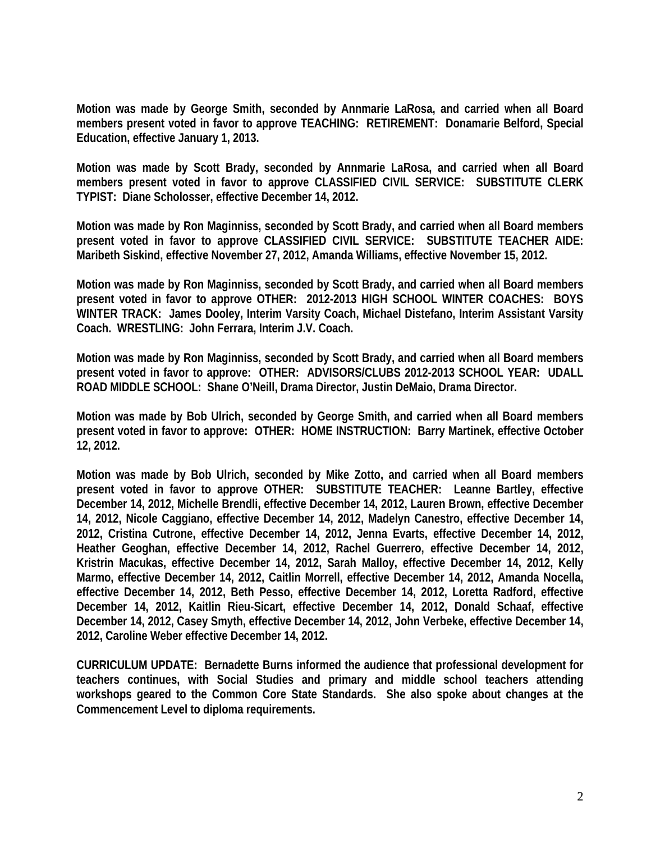**Motion was made by George Smith, seconded by Annmarie LaRosa, and carried when all Board members present voted in favor to approve TEACHING: RETIREMENT: Donamarie Belford, Special Education, effective January 1, 2013.** 

**Motion was made by Scott Brady, seconded by Annmarie LaRosa, and carried when all Board members present voted in favor to approve CLASSIFIED CIVIL SERVICE: SUBSTITUTE CLERK TYPIST: Diane Scholosser, effective December 14, 2012.** 

**Motion was made by Ron Maginniss, seconded by Scott Brady, and carried when all Board members present voted in favor to approve CLASSIFIED CIVIL SERVICE: SUBSTITUTE TEACHER AIDE: Maribeth Siskind, effective November 27, 2012, Amanda Williams, effective November 15, 2012.** 

**Motion was made by Ron Maginniss, seconded by Scott Brady, and carried when all Board members present voted in favor to approve OTHER: 2012-2013 HIGH SCHOOL WINTER COACHES: BOYS WINTER TRACK: James Dooley, Interim Varsity Coach, Michael Distefano, Interim Assistant Varsity Coach. WRESTLING: John Ferrara, Interim J.V. Coach.** 

**Motion was made by Ron Maginniss, seconded by Scott Brady, and carried when all Board members present voted in favor to approve: OTHER: ADVISORS/CLUBS 2012-2013 SCHOOL YEAR: UDALL ROAD MIDDLE SCHOOL: Shane O'Neill, Drama Director, Justin DeMaio, Drama Director.** 

**Motion was made by Bob Ulrich, seconded by George Smith, and carried when all Board members present voted in favor to approve: OTHER: HOME INSTRUCTION: Barry Martinek, effective October 12, 2012.** 

**Motion was made by Bob Ulrich, seconded by Mike Zotto, and carried when all Board members present voted in favor to approve OTHER: SUBSTITUTE TEACHER: Leanne Bartley, effective December 14, 2012, Michelle Brendli, effective December 14, 2012, Lauren Brown, effective December 14, 2012, Nicole Caggiano, effective December 14, 2012, Madelyn Canestro, effective December 14, 2012, Cristina Cutrone, effective December 14, 2012, Jenna Evarts, effective December 14, 2012, Heather Geoghan, effective December 14, 2012, Rachel Guerrero, effective December 14, 2012, Kristrin Macukas, effective December 14, 2012, Sarah Malloy, effective December 14, 2012, Kelly Marmo, effective December 14, 2012, Caitlin Morrell, effective December 14, 2012, Amanda Nocella, effective December 14, 2012, Beth Pesso, effective December 14, 2012, Loretta Radford, effective December 14, 2012, Kaitlin Rieu-Sicart, effective December 14, 2012, Donald Schaaf, effective December 14, 2012, Casey Smyth, effective December 14, 2012, John Verbeke, effective December 14, 2012, Caroline Weber effective December 14, 2012.** 

**CURRICULUM UPDATE: Bernadette Burns informed the audience that professional development for teachers continues, with Social Studies and primary and middle school teachers attending workshops geared to the Common Core State Standards. She also spoke about changes at the Commencement Level to diploma requirements.**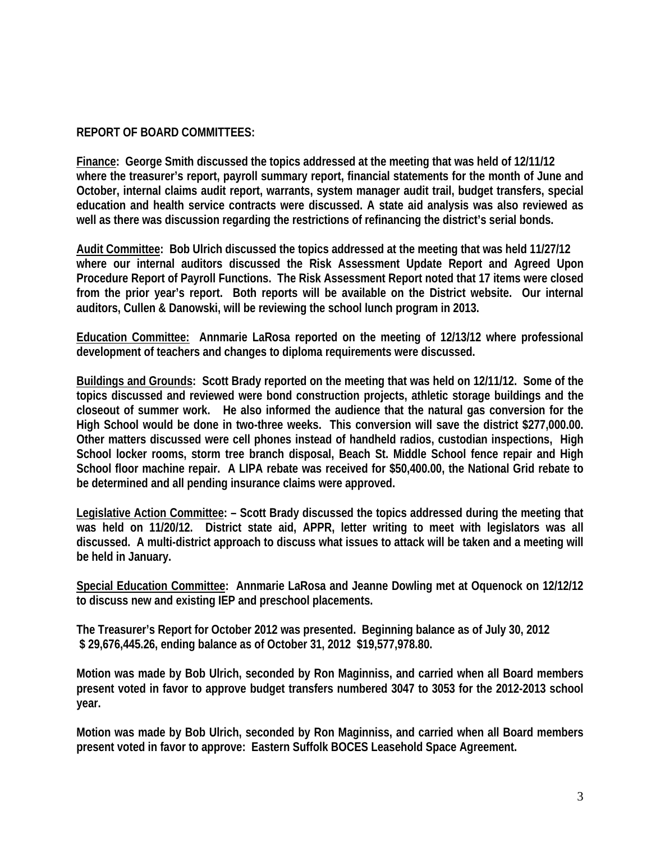## **REPORT OF BOARD COMMITTEES:**

**Finance: George Smith discussed the topics addressed at the meeting that was held of 12/11/12 where the treasurer's report, payroll summary report, financial statements for the month of June and October, internal claims audit report, warrants, system manager audit trail, budget transfers, special education and health service contracts were discussed. A state aid analysis was also reviewed as well as there was discussion regarding the restrictions of refinancing the district's serial bonds.** 

**Audit Committee: Bob Ulrich discussed the topics addressed at the meeting that was held 11/27/12 where our internal auditors discussed the Risk Assessment Update Report and Agreed Upon Procedure Report of Payroll Functions. The Risk Assessment Report noted that 17 items were closed from the prior year's report. Both reports will be available on the District website. Our internal auditors, Cullen & Danowski, will be reviewing the school lunch program in 2013.** 

**Education Committee: Annmarie LaRosa reported on the meeting of 12/13/12 where professional development of teachers and changes to diploma requirements were discussed.** 

**Buildings and Grounds: Scott Brady reported on the meeting that was held on 12/11/12. Some of the topics discussed and reviewed were bond construction projects, athletic storage buildings and the closeout of summer work. He also informed the audience that the natural gas conversion for the High School would be done in two-three weeks. This conversion will save the district \$277,000.00. Other matters discussed were cell phones instead of handheld radios, custodian inspections, High School locker rooms, storm tree branch disposal, Beach St. Middle School fence repair and High School floor machine repair. A LIPA rebate was received for \$50,400.00, the National Grid rebate to be determined and all pending insurance claims were approved.** 

**Legislative Action Committee: – Scott Brady discussed the topics addressed during the meeting that was held on 11/20/12. District state aid, APPR, letter writing to meet with legislators was all discussed. A multi-district approach to discuss what issues to attack will be taken and a meeting will be held in January.** 

**Special Education Committee: Annmarie LaRosa and Jeanne Dowling met at Oquenock on 12/12/12 to discuss new and existing IEP and preschool placements.** 

**The Treasurer's Report for October 2012 was presented. Beginning balance as of July 30, 2012 \$ 29,676,445.26, ending balance as of October 31, 2012 \$19,577,978.80.** 

**Motion was made by Bob Ulrich, seconded by Ron Maginniss, and carried when all Board members present voted in favor to approve budget transfers numbered 3047 to 3053 for the 2012-2013 school year.** 

**Motion was made by Bob Ulrich, seconded by Ron Maginniss, and carried when all Board members present voted in favor to approve: Eastern Suffolk BOCES Leasehold Space Agreement.**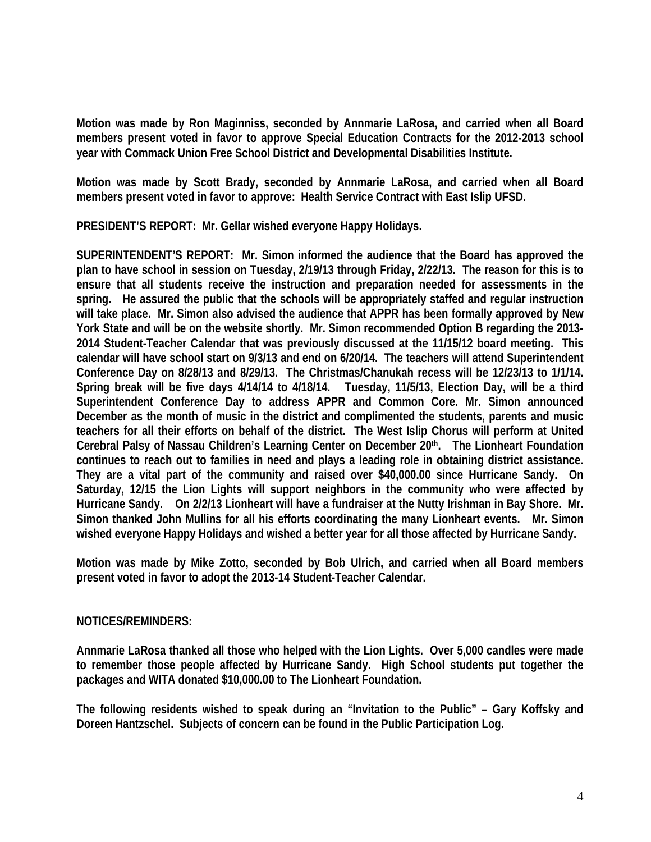**Motion was made by Ron Maginniss, seconded by Annmarie LaRosa, and carried when all Board members present voted in favor to approve Special Education Contracts for the 2012-2013 school year with Commack Union Free School District and Developmental Disabilities Institute.** 

**Motion was made by Scott Brady, seconded by Annmarie LaRosa, and carried when all Board members present voted in favor to approve: Health Service Contract with East Islip UFSD.** 

**PRESIDENT'S REPORT: Mr. Gellar wished everyone Happy Holidays.** 

**SUPERINTENDENT'S REPORT: Mr. Simon informed the audience that the Board has approved the plan to have school in session on Tuesday, 2/19/13 through Friday, 2/22/13. The reason for this is to ensure that all students receive the instruction and preparation needed for assessments in the spring. He assured the public that the schools will be appropriately staffed and regular instruction will take place. Mr. Simon also advised the audience that APPR has been formally approved by New York State and will be on the website shortly. Mr. Simon recommended Option B regarding the 2013- 2014 Student-Teacher Calendar that was previously discussed at the 11/15/12 board meeting. This calendar will have school start on 9/3/13 and end on 6/20/14. The teachers will attend Superintendent Conference Day on 8/28/13 and 8/29/13. The Christmas/Chanukah recess will be 12/23/13 to 1/1/14. Spring break will be five days 4/14/14 to 4/18/14. Tuesday, 11/5/13, Election Day, will be a third Superintendent Conference Day to address APPR and Common Core. Mr. Simon announced December as the month of music in the district and complimented the students, parents and music teachers for all their efforts on behalf of the district. The West Islip Chorus will perform at United Cerebral Palsy of Nassau Children's Learning Center on December 20th. The Lionheart Foundation continues to reach out to families in need and plays a leading role in obtaining district assistance. They are a vital part of the community and raised over \$40,000.00 since Hurricane Sandy. On Saturday, 12/15 the Lion Lights will support neighbors in the community who were affected by Hurricane Sandy. On 2/2/13 Lionheart will have a fundraiser at the Nutty Irishman in Bay Shore. Mr. Simon thanked John Mullins for all his efforts coordinating the many Lionheart events. Mr. Simon wished everyone Happy Holidays and wished a better year for all those affected by Hurricane Sandy.** 

**Motion was made by Mike Zotto, seconded by Bob Ulrich, and carried when all Board members present voted in favor to adopt the 2013-14 Student-Teacher Calendar.** 

## **NOTICES/REMINDERS:**

**Annmarie LaRosa thanked all those who helped with the Lion Lights. Over 5,000 candles were made to remember those people affected by Hurricane Sandy. High School students put together the packages and WITA donated \$10,000.00 to The Lionheart Foundation.** 

**The following residents wished to speak during an "Invitation to the Public" – Gary Koffsky and Doreen Hantzschel. Subjects of concern can be found in the Public Participation Log.**